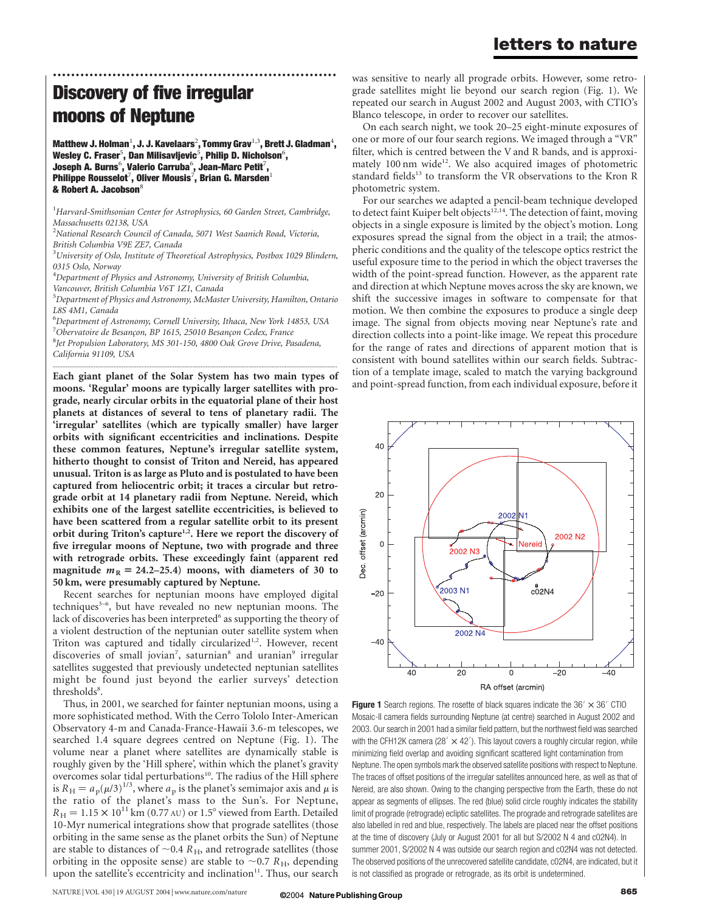#### letters to nature

## Discovery of five irregular moons of Neptune

Matthew J. Holman $^1$ , J. J. Kavelaars $^2$ , Tommy Grav $^{1,3}$ , Brett J. Gladman $^4$ , Wesley C. Fraser $^5$ , Dan Milisavljevic $^5$ , Philip D. Nicholson $^6$ , Joseph A. Burns $^6$ , Valerio Carruba $^6$ , Jean-Marc Petit $^7\!$ , Philippe Rousselot $^7$ , Oliver Mousis $^7$ , Brian G. Marsden $^1$ & Robert A. Jacobson $^8$ 

..............................................................

<sup>1</sup>Harvard-Smithsonian Center for Astrophysics, 60 Garden Street, Cambridge, Massachusetts 02138, USA

<sup>2</sup>National Research Council of Canada, 5071 West Saanich Road, Victoria, British Columbia V9E ZE7, Canada

 $^3$ University of Oslo, Institute of Theoretical Astrophysics, Postbox 1029 Blindern, 0315 Oslo, Norway

<sup>4</sup>Department of Physics and Astronomy, University of British Columbia, Vancouver, British Columbia V6T 1Z1, Canada

<sup>5</sup>Department of Physics and Astronomy, McMaster University, Hamilton, Ontario L8S 4M1, Canada

6 Department of Astronomy, Cornell University, Ithaca, New York 14853, USA 7<br>Obervatoire de Besançon, BP 1615, 25010 Besançon Cedex, France<br><sup>8</sup>Iet Propulsion Laboratory, MS 301, 150, 4800 Oak Croye Drive, Ba <sup>8</sup>Jet Propulsion Laboratory, MS 301-150, 4800 Oak Grove Drive, Pasadena, California 91109, USA

.............................................................................................................................................................................

Each giant planet of the Solar System has two main types of moons. 'Regular' moons are typically larger satellites with prograde, nearly circular orbits in the equatorial plane of their host planets at distances of several to tens of planetary radii. The 'irregular' satellites (which are typically smaller) have larger orbits with significant eccentricities and inclinations. Despite these common features, Neptune's irregular satellite system, hitherto thought to consist of Triton and Nereid, has appeared unusual. Triton is as large as Pluto and is postulated to have been captured from heliocentric orbit; it traces a circular but retrograde orbit at 14 planetary radii from Neptune. Nereid, which exhibits one of the largest satellite eccentricities, is believed to have been scattered from a regular satellite orbit to its present orbit during Triton's capture<sup>1,2</sup>. Here we report the discovery of five irregular moons of Neptune, two with prograde and three with retrograde orbits. These exceedingly faint (apparent red magnitude  $m_R = 24.2{\text -}25.4$  moons, with diameters of 30 to 50 km, were presumably captured by Neptune.

Recent searches for neptunian moons have employed digital techniques<sup>3-6</sup>, but have revealed no new neptunian moons. The lack of discoveries has been interpreted<sup>6</sup> as supporting the theory of a violent destruction of the neptunian outer satellite system when Triton was captured and tidally circularized<sup>1,2</sup>. However, recent discoveries of small jovian<sup>7</sup>, saturnian<sup>8</sup> and uranian<sup>9</sup> irregular satellites suggested that previously undetected neptunian satellites might be found just beyond the earlier surveys' detection thresholds<sup>8</sup>.

Thus, in 2001, we searched for fainter neptunian moons, using a more sophisticated method. With the Cerro Tololo Inter-American Observatory 4-m and Canada-France-Hawaii 3.6-m telescopes, we searched 1.4 square degrees centred on Neptune (Fig. 1). The volume near a planet where satellites are dynamically stable is roughly given by the 'Hill sphere', within which the planet's gravity overcomes solar tidal perturbations<sup>10</sup>. The radius of the Hill sphere is  $R_H = a_p(\mu/3)^{1/3}$ , where  $a_p$  is the planet's semimajor axis and  $\mu$  is the ratio of the planet's mass to the Sun's. For Neptune,  $R_H = 1.15 \times 10^{11}$  km (0.77 AU) or 1.5° viewed from Earth. Detailed 10-Myr numerical integrations show that prograde satellites (those orbiting in the same sense as the planet orbits the Sun) of Neptune are stable to distances of  $\sim$ 0.4  $\overline{R}_{\rm H}$ , and retrograde satellites (those orbiting in the opposite sense) are stable to  $\sim$  0.7 R<sub>H</sub>, depending upon the satellite's eccentricity and inclination<sup>11</sup>. Thus, our search

was sensitive to nearly all prograde orbits. However, some retrograde satellites might lie beyond our search region (Fig. 1). We repeated our search in August 2002 and August 2003, with CTIO's Blanco telescope, in order to recover our satellites.

On each search night, we took 20–25 eight-minute exposures of one or more of our four search regions. We imaged through a "VR" filter, which is centred between the V and R bands, and is approximately 100 nm wide<sup>12</sup>. We also acquired images of photometric standard fields<sup>13</sup> to transform the VR observations to the Kron R photometric system.

For our searches we adapted a pencil-beam technique developed to detect faint Kuiper belt objects<sup>12,14</sup>. The detection of faint, moving objects in a single exposure is limited by the object's motion. Long exposures spread the signal from the object in a trail; the atmospheric conditions and the quality of the telescope optics restrict the useful exposure time to the period in which the object traverses the width of the point-spread function. However, as the apparent rate and direction at which Neptune moves across the sky are known, we shift the successive images in software to compensate for that motion. We then combine the exposures to produce a single deep image. The signal from objects moving near Neptune's rate and direction collects into a point-like image. We repeat this procedure for the range of rates and directions of apparent motion that is consistent with bound satellites within our search fields. Subtraction of a template image, scaled to match the varying background and point-spread function, from each individual exposure, before it



Figure 1 Search regions. The rosette of black squares indicate the  $36' \times 36'$  CTIO Mosaic-II camera fields surrounding Neptune (at centre) searched in August 2002 and 2003. Our search in 2001 had a similar field pattern, but the northwest field was searched with the CFH12K camera (28'  $\times$  42'). This layout covers a roughly circular region, while minimizing field overlap and avoiding significant scattered light contamination from Neptune. The open symbols mark the observed satellite positions with respect to Neptune. The traces of offset positions of the irregular satellites announced here, as well as that of Nereid, are also shown. Owing to the changing perspective from the Earth, these do not appear as segments of ellipses. The red (blue) solid circle roughly indicates the stability limit of prograde (retrograde) ecliptic satellites. The prograde and retrograde satellites are also labelled in red and blue, respectively. The labels are placed near the offset positions at the time of discovery (July or August 2001 for all but S/2002 N 4 and c02N4). In summer 2001, S/2002 N 4 was outside our search region and c02N4 was not detected. The observed positions of the unrecovered satellite candidate, c02N4, are indicated, but it is not classified as prograde or retrograde, as its orbit is undetermined.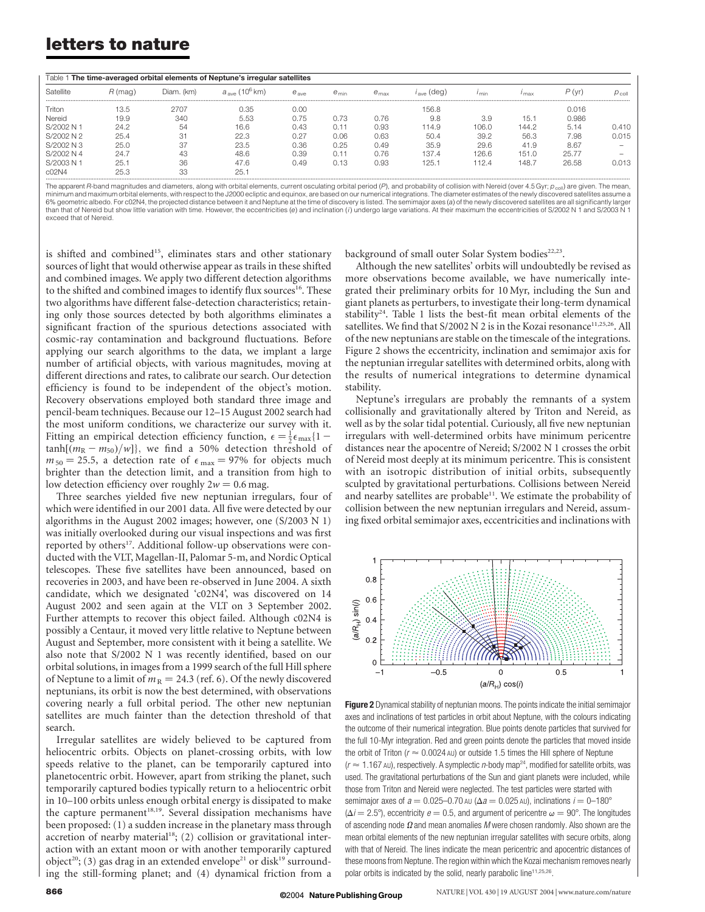### letters to nature

| Table 1 The time-averaged orbital elements of Neptune's irregular satellites |         |            |                                     |           |            |                  |         |               |       |       |                   |
|------------------------------------------------------------------------------|---------|------------|-------------------------------------|-----------|------------|------------------|---------|---------------|-------|-------|-------------------|
| Satellite                                                                    | R (mag) | Diam. (km) | $a_{\rm{max}}$ (10 <sup>6</sup> km) | $e_{ave}$ | $e_{\min}$ | $e_{\text{max}}$ | . (dea) | $\frac{1}{2}$ | max   | P (vr | $P_{\text{coll}}$ |
| Triton                                                                       | 13.5    | 2707       | 0.35                                | 0.00      |            |                  | 156.8   |               |       | 0.016 |                   |
| Nereid                                                                       | 19.9    | 340        | 5.53                                | 0.75      | 0.73       | 0.76             | 9.8     | 3.9           | 15.1  | 0.986 |                   |
| S/2002 N 1                                                                   | 24.2    | 54         | 16.6                                | 0.43      | 0.11       | 0.93             | 114.9   | 106.0         | 144.2 | 5.14  | 0.410             |
| S/2002 N 2                                                                   | 25.4    | 31         | 22.3                                | 0.27      | 0.06       | 0.63             | 50.4    | 39.2          | 56.3  | 7.98  | 0.015             |
| S/2002 N 3                                                                   | 25.0    | 37         | 23.5                                | 0.36      | 0.25       | 0.49             | 35.9    | 29.6          | 41.9  | 8.67  |                   |
| S/2002 N 4                                                                   | 24.7    | 43         | 48.6                                | 0.39      | 0.11       | 0.76             | 137.4   | 126.6         | 151.0 | 25.77 |                   |
| S/2003 N 1                                                                   | 25.     | 36         | 47.6                                | 0.49      | 0.13       | 0.93             | 125.1   | 12.4          | 148.7 | 26.58 | 0.013             |
| C <sub>0</sub> 2N4                                                           | 25.3    | 33         | 25.7                                |           |            |                  |         |               |       |       |                   |

The apparent R-band magnitudes and diameters, along with orbital elements, current osculating orbital period (P), and probability of collision with Nereid (over 4.5 Gyr;  $p_{\text{coll}}$ ) are given. The mean, minimum and maximum orbital elements, with respect to the J2000 ecliptic and equinox, are based on our numerical integrations. The diameter estimates of the newly discovered satellites assume a 6% geometric albedo. For c02N4, the projected distance between it and Neptune at the time of discovery is listed. The semimajor axes (a) of the newly discovered satellites are all significantly larger<br>than that of Nereid b exceed that of Nereid.

is shifted and combined<sup>15</sup>, eliminates stars and other stationary sources of light that would otherwise appear as trails in these shifted and combined images. We apply two different detection algorithms to the shifted and combined images to identify flux sources<sup>16</sup>. These two algorithms have different false-detection characteristics; retaining only those sources detected by both algorithms eliminates a significant fraction of the spurious detections associated with cosmic-ray contamination and background fluctuations. Before applying our search algorithms to the data, we implant a large number of artificial objects, with various magnitudes, moving at different directions and rates, to calibrate our search. Our detection efficiency is found to be independent of the object's motion. Recovery observations employed both standard three image and pencil-beam techniques. Because our 12–15 August 2002 search had the most uniform conditions, we characterize our survey with it. Fitting an empirical detection efficiency function,  $\epsilon = \frac{1}{2} \epsilon_{\text{max}} \{1$  $tanh[(m_R - m_{50})/w]$ , we find a 50% detection threshold of  $m_{50} = 25.5$ , a detection rate of  $\epsilon_{\text{max}} = 97\%$  for objects much brighter than the detection limit, and a transition from high to low detection efficiency over roughly  $2w = 0.6$  mag.

Three searches yielded five new neptunian irregulars, four of which were identified in our 2001 data. All five were detected by our algorithms in the August 2002 images; however, one (S/2003 N 1) was initially overlooked during our visual inspections and was first reported by others<sup>17</sup>. Additional follow-up observations were conducted with the VLT, Magellan-II, Palomar 5-m, and Nordic Optical telescopes. These five satellites have been announced, based on recoveries in 2003, and have been re-observed in June 2004. A sixth candidate, which we designated 'c02N4', was discovered on 14 August 2002 and seen again at the VLT on 3 September 2002. Further attempts to recover this object failed. Although c02N4 is possibly a Centaur, it moved very little relative to Neptune between August and September, more consistent with it being a satellite. We also note that S/2002 N 1 was recently identified, based on our orbital solutions, in images from a 1999 search of the full Hill sphere of Neptune to a limit of  $m_R = 24.3$  (ref. 6). Of the newly discovered neptunians, its orbit is now the best determined, with observations covering nearly a full orbital period. The other new neptunian satellites are much fainter than the detection threshold of that search.

Irregular satellites are widely believed to be captured from heliocentric orbits. Objects on planet-crossing orbits, with low speeds relative to the planet, can be temporarily captured into planetocentric orbit. However, apart from striking the planet, such temporarily captured bodies typically return to a heliocentric orbit in 10–100 orbits unless enough orbital energy is dissipated to make the capture permanent<sup>18,19</sup>. Several dissipation mechanisms have been proposed: (1) a sudden increase in the planetary mass through accretion of nearby material<sup>18</sup>; (2) collision or gravitational interaction with an extant moon or with another temporarily captured object<sup>20</sup>; (3) gas drag in an extended envelope<sup>21</sup> or disk<sup>19</sup> surrounding the still-forming planet; and (4) dynamical friction from a

background of small outer Solar System bodies<sup>22,23</sup>.

Although the new satellites' orbits will undoubtedly be revised as more observations become available, we have numerically integrated their preliminary orbits for 10 Myr, including the Sun and giant planets as perturbers, to investigate their long-term dynamical stability<sup>24</sup>. Table 1 lists the best-fit mean orbital elements of the satellites. We find that S/2002 N 2 is in the Kozai resonance<sup>11,25,26</sup>. All of the new neptunians are stable on the timescale of the integrations. Figure 2 shows the eccentricity, inclination and semimajor axis for the neptunian irregular satellites with determined orbits, along with the results of numerical integrations to determine dynamical stability.

Neptune's irregulars are probably the remnants of a system collisionally and gravitationally altered by Triton and Nereid, as well as by the solar tidal potential. Curiously, all five new neptunian irregulars with well-determined orbits have minimum pericentre distances near the apocentre of Nereid; S/2002 N 1 crosses the orbit of Nereid most deeply at its minimum pericentre. This is consistent with an isotropic distribution of initial orbits, subsequently sculpted by gravitational perturbations. Collisions between Nereid and nearby satellites are probable $11$ . We estimate the probability of collision between the new neptunian irregulars and Nereid, assuming fixed orbital semimajor axes, eccentricities and inclinations with



Figure 2 Dynamical stability of neptunian moons. The points indicate the initial semimajor axes and inclinations of test particles in orbit about Neptune, with the colours indicating the outcome of their numerical integration. Blue points denote particles that survived for the full 10-Myr integration. Red and green points denote the particles that moved inside the orbit of Triton ( $r \approx 0.0024$  AU) or outside 1.5 times the Hill sphere of Neptune  $(r \approx 1.167$  AU), respectively. A symplectic *n*-body map<sup>24</sup>, modified for satellite orbits, was used. The gravitational perturbations of the Sun and giant planets were included, while those from Triton and Nereid were neglected. The test particles were started with semimajor axes of  $a = 0.025-0.70$  AU ( $\Delta a = 0.025$  AU), inclinations  $i = 0-180^{\circ}$  $(\Delta i = 2.5^{\circ})$ , eccentricity  $e = 0.5$ , and argument of pericentre  $\omega = 90^{\circ}$ . The longitudes of ascending node  $\Omega$  and mean anomalies M were chosen randomly. Also shown are the mean orbital elements of the new neptunian irregular satellites with secure orbits, along with that of Nereid. The lines indicate the mean pericentric and apocentric distances of these moons from Neptune. The region within which the Kozai mechanism removes nearly polar orbits is indicated by the solid, nearly parabolic line<sup>11,25,26</sup>.